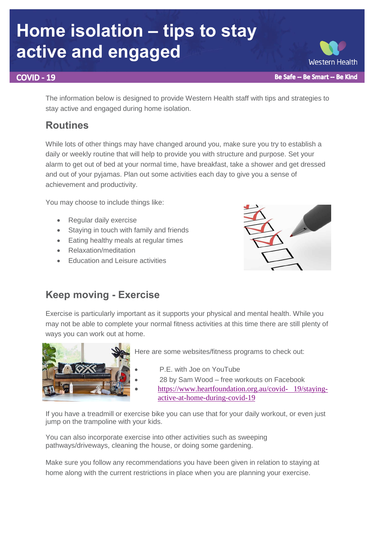# **Home isolation – tips to stay active and engaged**

## **COVID - 19**

The information below is designed to provide Western Health staff with tips and strategies to stay active and engaged during home isolation.

# **Routines**

While lots of other things may have changed around you, make sure you try to establish a daily or weekly routine that will help to provide you with structure and purpose. Set your alarm to get out of bed at your normal time, have breakfast, take a shower and get dressed and out of your pyjamas. Plan out some activities each day to give you a sense of achievement and productivity.

You may choose to include things like:

- Regular daily exercise
- Staying in touch with family and friends
- Eating healthy meals at regular times
- Relaxation/meditation
- Education and Leisure activities



**Western Health** 

Be Safe -- Be Smart -- Be Kind

# **Keep moving - Exercise**

Exercise is particularly important as it supports your physical and mental health. While you may not be able to complete your normal fitness activities at this time there are still plenty of ways you can work out at home.



Here are some websites/fitness programs to check out:

- P.E. with Joe on YouTube
- 28 by Sam Wood free workouts on Facebook
- [https://www.heartfoundation.org.au/covid- 19/staying](https://www.heartfoundation.org.au/covid-%20%20%2019/staying-active-at-home-during-covid-19)[active-at-home-during-covid-19](https://www.heartfoundation.org.au/covid-%20%20%2019/staying-active-at-home-during-covid-19)

If you have a treadmill or exercise bike you can use that for your daily workout, or even just jump on the trampoline with your kids.

You can also incorporate exercise into other activities such as sweeping pathways/driveways, cleaning the house, or doing some gardening.

Make sure you follow any recommendations you have been given in relation to staying at home along with the current restrictions in place when you are planning your exercise.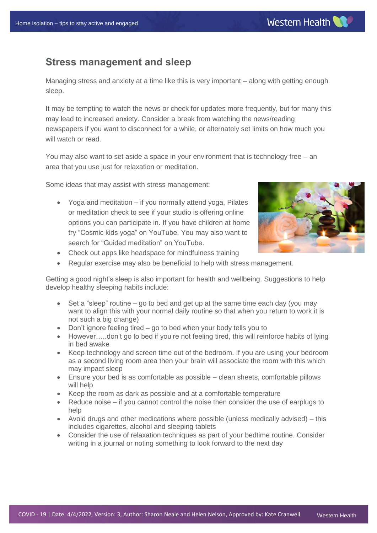# **Stress management and sleep**

Managing stress and anxiety at a time like this is very important – along with getting enough sleep.

It may be tempting to watch the news or check for updates more frequently, but for many this may lead to increased anxiety. Consider a break from watching the news/reading newspapers if you want to disconnect for a while, or alternately set limits on how much you will watch or read.

You may also want to set aside a space in your environment that is technology free – an area that you use just for relaxation or meditation.

Some ideas that may assist with stress management:

 Yoga and meditation – if you normally attend yoga, Pilates or meditation check to see if your studio is offering online options you can participate in. If you have children at home try "Cosmic kids yoga" on YouTube. You may also want to search for "Guided meditation" on YouTube.



- Check out apps like headspace for mindfulness training
- Regular exercise may also be beneficial to help with stress management.

Getting a good night's sleep is also important for health and wellbeing. Suggestions to help develop healthy sleeping habits include:

- Set a "sleep" routine  $-$  go to bed and get up at the same time each day (you may want to align this with your normal daily routine so that when you return to work it is not such a big change)
- Don't ignore feeling tired go to bed when your body tells you to
- However.....don't go to bed if you're not feeling tired, this will reinforce habits of lying in bed awake
- Keep technology and screen time out of the bedroom. If you are using your bedroom as a second living room area then your brain will associate the room with this which may impact sleep
- Ensure your bed is as comfortable as possible clean sheets, comfortable pillows will help
- Keep the room as dark as possible and at a comfortable temperature
- Reduce noise if you cannot control the noise then consider the use of earplugs to help
- Avoid drugs and other medications where possible (unless medically advised) this includes cigarettes, alcohol and sleeping tablets
- Consider the use of relaxation techniques as part of your bedtime routine. Consider writing in a journal or noting something to look forward to the next day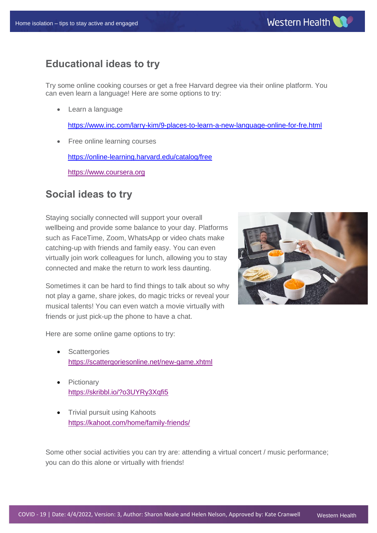# **Educational ideas to try**

Try some online cooking courses or get a free Harvard degree via their online platform. You can even learn a language! Here are some options to try:

Learn a language

<https://www.inc.com/larry-kim/9-places-to-learn-a-new-language-online-for-fre.html>

• Free online learning courses

<https://online-learning.harvard.edu/catalog/free>

[https://www.coursera.org](https://www.coursera.org/)

## **Social ideas to try**

Staying socially connected will support your overall wellbeing and provide some balance to your day. Platforms such as FaceTime, Zoom, WhatsApp or video chats make catching-up with friends and family easy. You can even virtually join work colleagues for lunch, allowing you to stay connected and make the return to work less daunting.

Sometimes it can be hard to find things to talk about so why not play a game, share jokes, do magic tricks or reveal your musical talents! You can even watch a movie virtually with friends or just pick-up the phone to have a chat.

Here are some online game options to try:

- Scattergories <https://scattergoriesonline.net/new-game.xhtml>
- Pictionary <https://skribbl.io/?o3UYRy3Xqfi5>
- Trivial pursuit using Kahoots <https://kahoot.com/home/family-friends/>



Some other social activities you can try are: attending a virtual concert / music performance; you can do this alone or virtually with friends!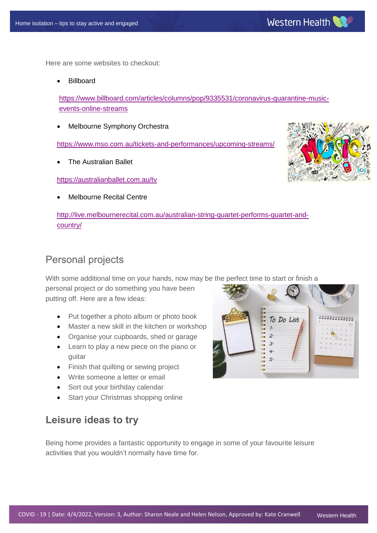Here are some websites to checkout:

**Billboard** 

[https://www.billboard.com/articles/columns/pop/9335531/coronavirus-quarantine-music](https://www.billboard.com/articles/columns/pop/9335531/coronavirus-quarantine-music-events-online-streams)[events-online-streams](https://www.billboard.com/articles/columns/pop/9335531/coronavirus-quarantine-music-events-online-streams)

Melbourne Symphony Orchestra

<https://www.mso.com.au/tickets-and-performances/upcoming-streams/>

The Australian Ballet

<https://australianballet.com.au/tv>

Melbourne Recital Centre

[http://live.melbournerecital.com.au/australian-string-quartet-performs-quartet-and](http://live.melbournerecital.com.au/australian-string-quartet-performs-quartet-and-country/)[country/](http://live.melbournerecital.com.au/australian-string-quartet-performs-quartet-and-country/)

## Personal projects

With some additional time on your hands, now may be the perfect time to start or finish a

personal project or do something you have been putting off. Here are a few ideas:

- Put together a photo album or photo book
- Master a new skill in the kitchen or workshop
- Organise your cupboards, shed or garage
- Learn to play a new piece on the piano or guitar
- Finish that quilting or sewing project
- Write someone a letter or email
- Sort out your birthday calendar
- Start your Christmas shopping online





## **Leisure ideas to try**

Being home provides a fantastic opportunity to engage in some of your favourite leisure activities that you wouldn't normally have time for.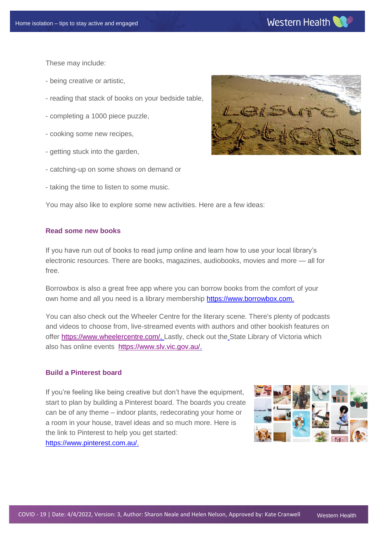These may include:

- being creative or artistic,
- reading that stack of books on your bedside table,
- completing a 1000 piece puzzle,
- cooking some new recipes,
- getting stuck into the garden,
- catching-up on some shows on demand or
- taking the time to listen to some music.



You may also like to explore some new activities. Here are a few ideas:

#### **Read some new books**

If you have run out of books to read jump online and learn how to use your local library's electronic resources. There are books, magazines, audiobooks, movies and more — all for free.

Borrowbox is also a great free app where you can borrow books from the comfort of your own home and all you need is a library membership [https://www.borrowbox.com.](https://www.borrowbox.com/)

You can also check out the [Wheeler Centre](https://www.wheelercentre.com/) for the literary scene. There's plenty of podcasts and videos to choose from, live-streamed events with authors and other bookish features on offer [https://www.wheelercentre.com/.](https://www.wheelercentre.com/) Lastly, check out the State Library of Victoria which also has online events [https://www.slv.vic.gov.au/.](https://www.slv.vic.gov.au/)

### **Build a Pinterest board**

If you're feeling like being creative but don't have the equipment, start to plan by building a Pinterest board. The boards you create can be of any theme – indoor plants, redecorating your home or a room in your house, travel ideas and so much more. Here is the link to Pinterest to help you get started: [https://www.pinterest.com.au/.](https://www.pinterest.com.au/)

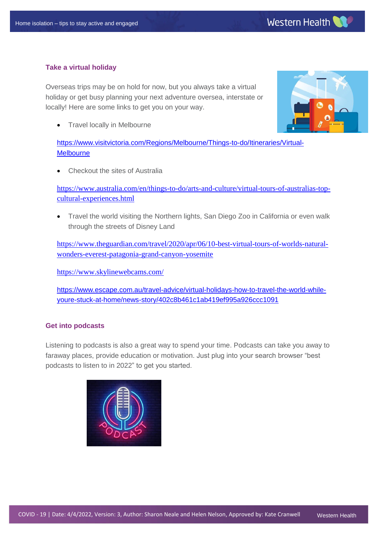## **Take a virtual holiday**

Overseas trips may be on hold for now, but you always take a virtual holiday or get busy planning your next adventure oversea, interstate or locally! Here are some links to get you on your way.

• Travel locally in Melbourne

[https://www.visitvictoria.com/Regions/Melbourne/Things-to-do/Itineraries/Virtual-](https://www.visitvictoria.com/Regions/Melbourne/Things-to-do/Itineraries/Virtual-Melbourne)**[Melbourne](https://www.visitvictoria.com/Regions/Melbourne/Things-to-do/Itineraries/Virtual-Melbourne)** 

Checkout the sites of Australia

[https://www.australia.com/en/things-to-do/arts-and-culture/virtual-tours-of-australias-top](https://www.australia.com/en/things-to-do/arts-and-culture/virtual-tours-of-australias-top-cultural-experiences.html)[cultural-experiences.html](https://www.australia.com/en/things-to-do/arts-and-culture/virtual-tours-of-australias-top-cultural-experiences.html)

 Travel the world visiting the Northern lights, San Diego Zoo in California or even walk through the streets of Disney Land

[https://www.theguardian.com/travel/2020/apr/06/10-best-virtual-tours-of-worlds-natural](https://www.theguardian.com/travel/2020/apr/06/10-best-virtual-tours-of-worlds-natural-wonders-everest-patagonia-grand-canyon-yosemite)[wonders-everest-patagonia-grand-canyon-yosemite](https://www.theguardian.com/travel/2020/apr/06/10-best-virtual-tours-of-worlds-natural-wonders-everest-patagonia-grand-canyon-yosemite)

https://www.skylinewebcams.com/

[https://www.escape.com.au/travel-advice/virtual-holidays-how-to-travel-the-world-while](https://www.escape.com.au/travel-advice/virtual-holidays-how-to-travel-the-world-while-youre-stuck-at-home/news-story/402c8b461c1ab419ef995a926ccc1091)[youre-stuck-at-home/news-story/402c8b461c1ab419ef995a926ccc1091](https://www.escape.com.au/travel-advice/virtual-holidays-how-to-travel-the-world-while-youre-stuck-at-home/news-story/402c8b461c1ab419ef995a926ccc1091)

#### **Get into podcasts**

Listening to podcasts is also a great way to spend your time. Podcasts can take you away to faraway places, provide education or motivation. Just plug into your search browser "best podcasts to listen to in 2022" to get you started.